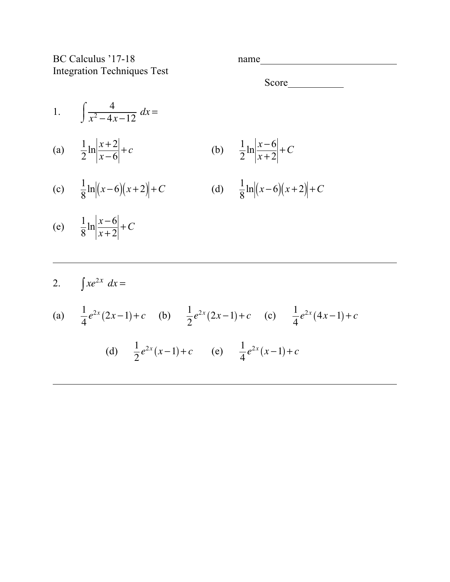BC Calculus '17-18 name Integration Techniques Test

| Δ<br>ч<br>۰ |  |  |  |
|-------------|--|--|--|
|             |  |  |  |

Score
<u>Letter</u>

1.  $\int \frac{4}{24}$ *x*<sup>2</sup> − 4*x* −12  $\sqrt{ }$  $\int \frac{1}{x^2 - 4x - 12} dx =$ (a)  $\frac{1}{2}$ 2  $\ln \left| \frac{x+2}{x} \right|$  $\frac{x+2}{x-6}$  + *c* (b)  $\frac{1}{2}$  $\ln \left| \frac{x-6}{x+2} \right| + C$ 

(c) 
$$
\frac{1}{8} \ln |(x-6)(x+2)| + C
$$
 (d)  $\frac{1}{8} \ln |(x-6)(x+2)| + C$ 

- (e)  $\frac{1}{2}$ 8  $\ln \left| \frac{x-6}{x+2} \right| + C$
- 2.  $\int xe^{2x} dx =$

(a) 
$$
\frac{1}{4}e^{2x}(2x-1)+c
$$
 (b)  $\frac{1}{2}e^{2x}(2x-1)+c$  (c)  $\frac{1}{4}e^{2x}(4x-1)+c$   
(d)  $\frac{1}{2}e^{2x}(x-1)+c$  (e)  $\frac{1}{4}e^{2x}(x-1)+c$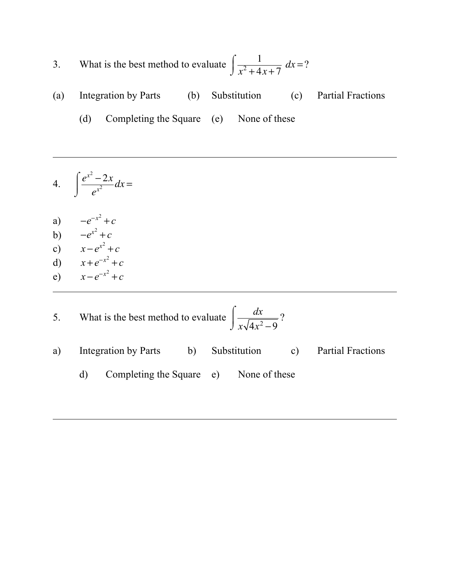- 3. What is the best method to evaluate  $\int \frac{1}{2+4}$  $x^2 + 4x + 7$  $\int$  $\int \frac{1}{x^2 + 4x + 7} dx = ?$
- (a) Integration by Parts (b) Substitution (c) Partial Fractions
	- (d) Completing the Square (e) None of these
- 4.  $\int \frac{e^{x^2}-2x}{x^2}$  $e^{x^2}$  $\int$ ⌡  $\int \frac{e^{-2x}}{x^2} dx =$
- a)  $-e^{-x^2} + c$
- b)  $-e^{x^2} + c$
- c)  $x e^{x^2} + c$
- d)  $x + e^{-x^2} + c$
- e)  $x e^{-x^2} + c$
- 5. What is the best method to evaluate  $\int \frac{dx}{\sqrt{dx}}$ *x*√4*x*<sup>2</sup> – 9  $\int$  $\int$  $\frac{ux}{\sqrt{4x^2-9}}$ ? a) Integration by Parts b) Substitution c) Partial Fractions d) Completing the Square e) None of these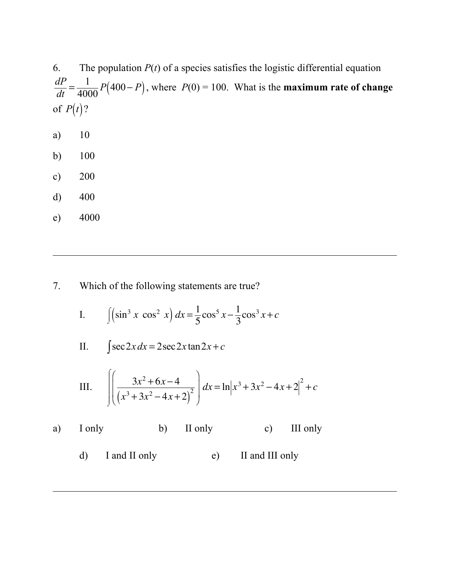6. The population  $P(t)$  of a species satisfies the logistic differential equation  $\frac{dP}{dt} = \frac{1}{4000} P(400 - P)$ , where *P*(0) = 100. What is the **maximum rate of change** of  $P(t)$ ?

- a) 10
- b) 100
- c) 200
- d) 400
- e) 4000
- 7. Which of the following statements are true?
	- I.  $\int (\sin^3 x \cos^2 x) dx = \frac{1}{5} \cos^5 x \frac{1}{3}$  $\cos^3 x + c$
	- II.  $\int \sec 2x \, dx = 2 \sec 2x \tan 2x + c$

III. 
$$
\int \left( \frac{3x^2 + 6x - 4}{(x^3 + 3x^2 - 4x + 2)^2} \right) dx = \ln|x^3 + 3x^2 - 4x + 2|^2 + c
$$

- a) I only b) II only c) III only
	- d) I and II only e) II and III only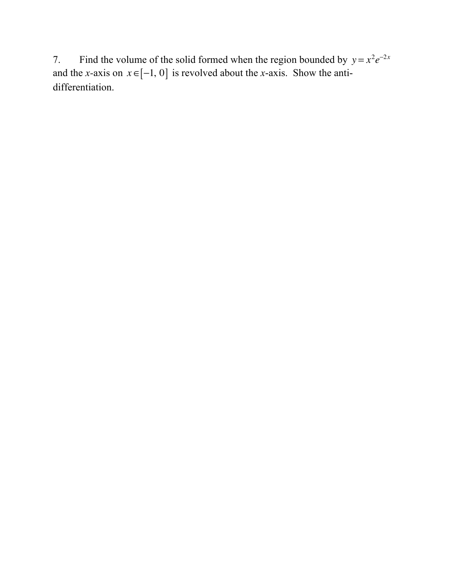7. Find the volume of the solid formed when the region bounded by  $y = x^2 e^{-2x}$ and the *x*-axis on  $x \in [-1, 0]$  is revolved about the *x*-axis. Show the antidifferentiation.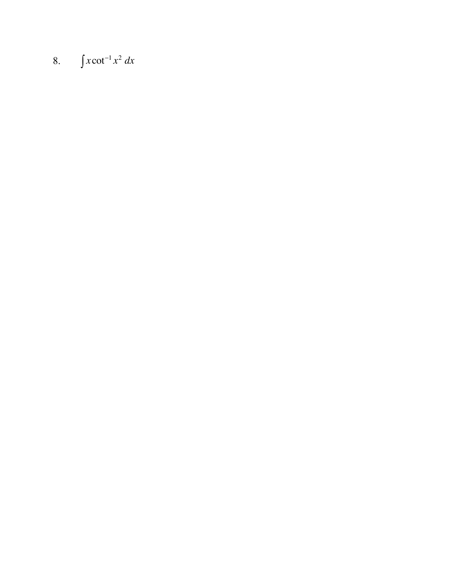## 8.  $\int x \cot^{-1} x^2 dx$